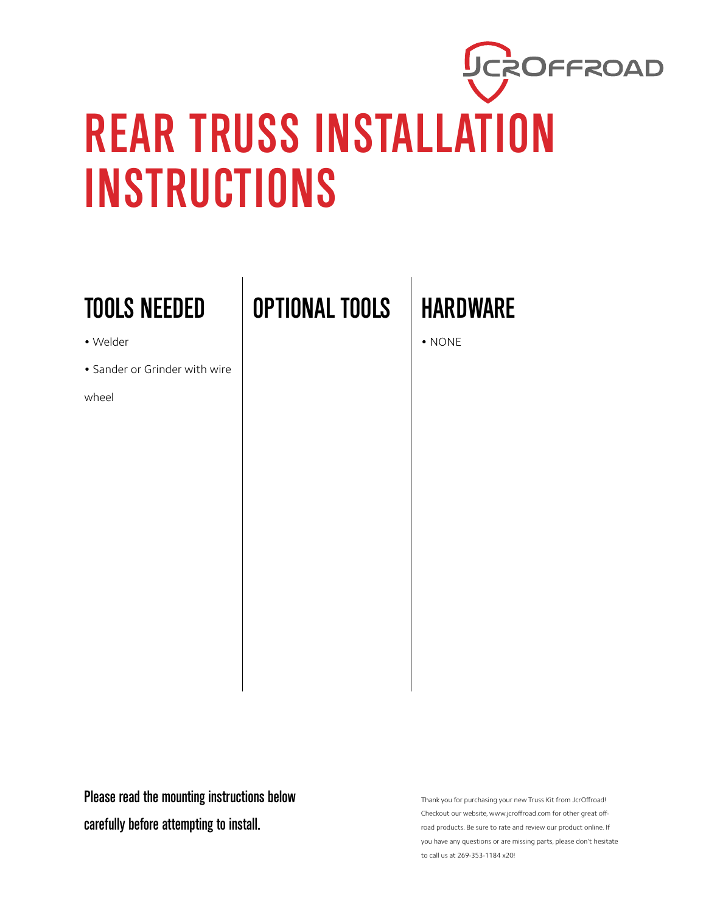## UCROFFROAD REAR TRUSS INSTALLATION INSTRUCTIONS

## TOOLS NEEDED

- Welder
- Sander or Grinder with wire

wheel

OPTIONAL TOOLS HARDWARE

• NONE

Please read the mounting instructions below carefully before attempting to install.

Thank you for purchasing your new Truss Kit from JcrOffroad! Checkout our website, www.jcroffroad.com for other great offroad products. Be sure to rate and review our product online. If you have any questions or are missing parts, please don't hesitate to call us at 269-353-1184 x20!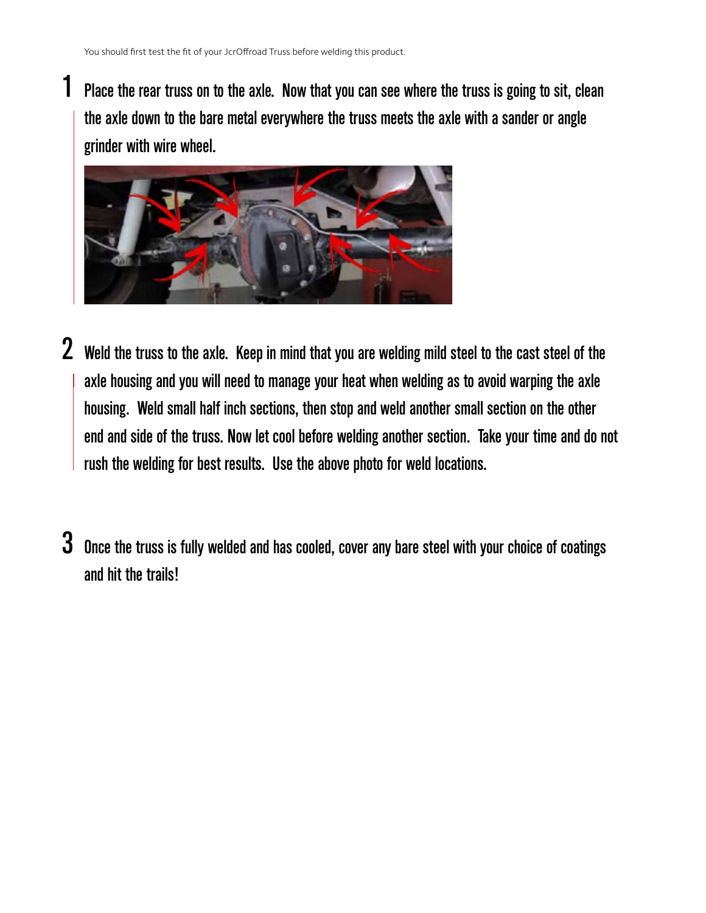1

Place the rear truss on to the axle. Now that you can see where the truss is going to sit, clean the axle down to the bare metal everywhere the truss meets the axle with a sander or angle grinder with wire wheel.



- 2 Weld the truss to the axle. Keep in mind that you are welding mild steel to the cast steel of the axle housing and you will need to manage your heat when welding as to avoid warping the axle housing. Weld small half inch sections, then stop and weld another small section on the other end and side of the truss. Now let cool before welding another section. Take your time and do not rush the welding for best results. Use the above photo for weld locations.
- $3\,$  Once the truss is fully welded and has cooled, cover any bare steel with your choice of coatings and hit the trails!